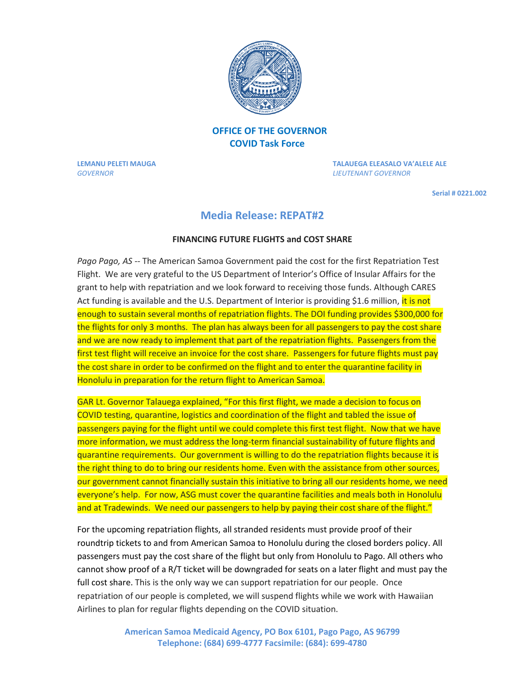

## **OFFICE OF THE GOVERNOR COVID Task Force**

*GOVERNOR LIEUTENANT GOVERNOR* 

**LEMANU PELETI MAUGA TALAUEGA ELEASALO VA'ALELE ALE** 

 **Serial # 0221.002**

## **Media Release: REPAT#2**

## **FINANCING FUTURE FLIGHTS and COST SHARE**

*Pago Pago, AS --* The American Samoa Government paid the cost for the first Repatriation Test Flight. We are very grateful to the US Department of Interior's Office of Insular Affairs for the grant to help with repatriation and we look forward to receiving those funds. Although CARES Act funding is available and the U.S. Department of Interior is providing \$1.6 million, it is not enough to sustain several months of repatriation flights. The DOI funding provides \$300,000 for the flights for only 3 months. The plan has always been for all passengers to pay the cost share and we are now ready to implement that part of the repatriation flights. Passengers from the first test flight will receive an invoice for the cost share. Passengers for future flights must pay the cost share in order to be confirmed on the flight and to enter the quarantine facility in Honolulu in preparation for the return flight to American Samoa.

GAR Lt. Governor Talauega explained, "For this first flight, we made a decision to focus on COVID testing, quarantine, logistics and coordination of the flight and tabled the issue of passengers paying for the flight until we could complete this first test flight. Now that we have more information, we must address the long-term financial sustainability of future flights and quarantine requirements. Our government is willing to do the repatriation flights because it is the right thing to do to bring our residents home. Even with the assistance from other sources, our government cannot financially sustain this initiative to bring all our residents home, we need everyone's help. For now, ASG must cover the quarantine facilities and meals both in Honolulu and at Tradewinds. We need our passengers to help by paying their cost share of the flight."

For the upcoming repatriation flights, all stranded residents must provide proof of their roundtrip tickets to and from American Samoa to Honolulu during the closed borders policy. All passengers must pay the cost share of the flight but only from Honolulu to Pago. All others who cannot show proof of a R/T ticket will be downgraded for seats on a later flight and must pay the full cost share. This is the only way we can support repatriation for our people. Once repatriation of our people is completed, we will suspend flights while we work with Hawaiian Airlines to plan for regular flights depending on the COVID situation.

> **American Samoa Medicaid Agency, PO Box 6101, Pago Pago, AS 96799 Telephone: (684) 699-4777 Facsimile: (684): 699-4780**